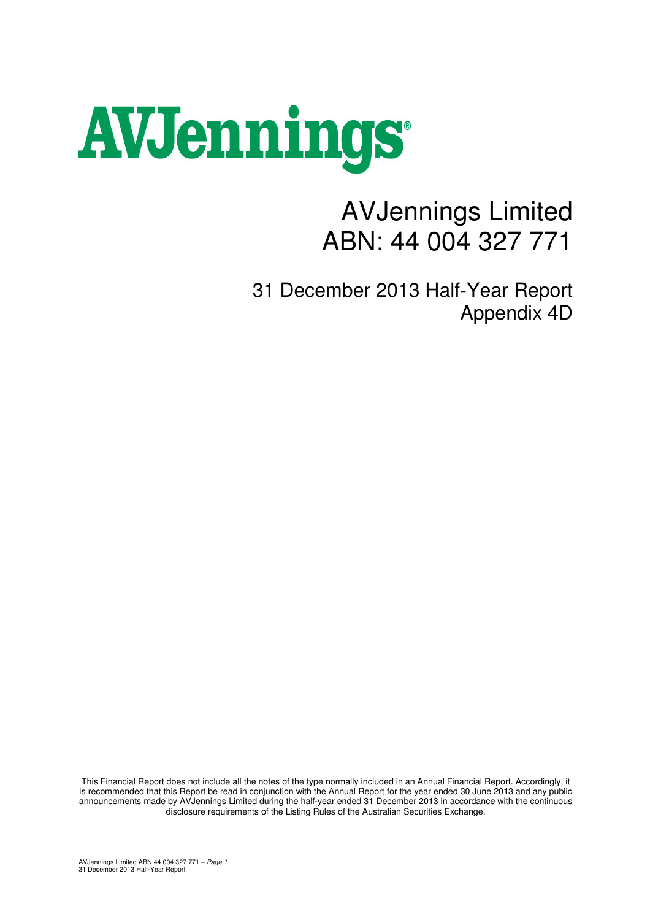## AVJennings

## AVJennings Limited ABN: 44 004 327 771

31 December 2013 Half-Year Report Appendix 4D

This Financial Report does not include all the notes of the type normally included in an Annual Financial Report. Accordingly, it is recommended that this Report be read in conjunction with the Annual Report for the year ended 30 June 2013 and any public announcements made by AVJennings Limited during the half-year ended 31 December 2013 in accordance with the continuous disclosure requirements of the Listing Rules of the Australian Securities Exchange.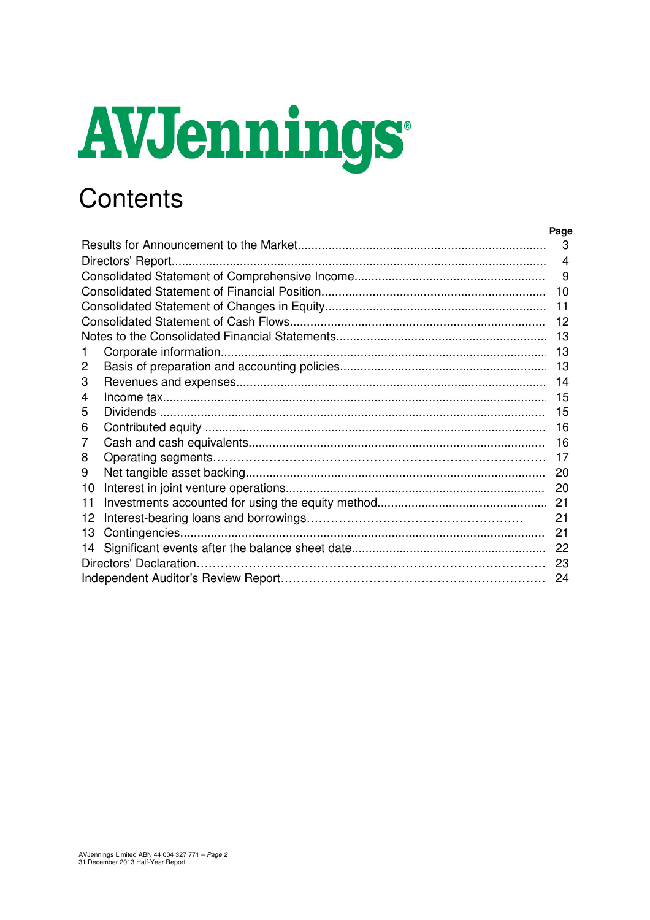# AVJennings

## Contents

|    | 3  |
|----|----|
|    | 4  |
|    | 9  |
|    | 10 |
|    | 11 |
|    | 12 |
|    | 13 |
|    | 13 |
| 2  | 13 |
| 3  | 14 |
| 4  | 15 |
| 5  | 15 |
| 6  | 16 |
| 7  | 16 |
| 8  | 17 |
| 9  | 20 |
| 10 |    |
| 11 |    |
| 12 | 21 |
| 13 | 21 |
| 14 | 22 |
|    | 23 |
|    | 24 |

Page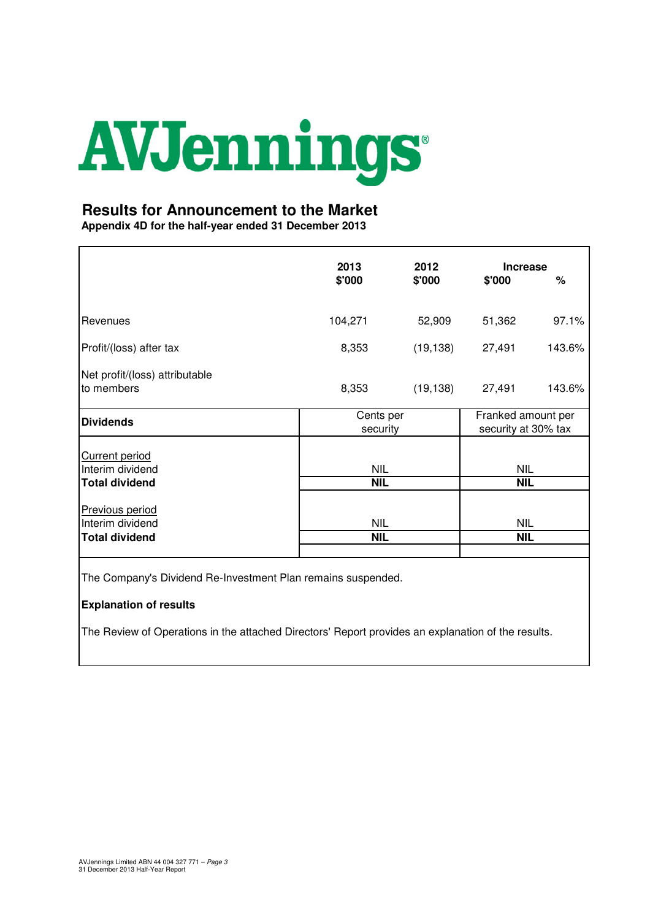## AVJennings

#### **Results for Announcement to the Market**

**Appendix 4D for the half-year ended 31 December 2013**

|                                                                    | 2013<br>2012<br>\$'000<br>\$'000 |           | <b>Increase</b><br>\$'000                 | %      |  |
|--------------------------------------------------------------------|----------------------------------|-----------|-------------------------------------------|--------|--|
| Revenues                                                           | 104,271                          | 52,909    | 51,362                                    | 97.1%  |  |
| Profit/(loss) after tax                                            | 8,353                            | (19, 138) | 27,491                                    | 143.6% |  |
| Net profit/(loss) attributable<br>to members                       | 8,353                            | (19, 138) | 27,491                                    | 143.6% |  |
| <b>Dividends</b>                                                   | Cents per<br>security            |           | Franked amount per<br>security at 30% tax |        |  |
| <b>Current period</b><br>Interim dividend<br><b>Total dividend</b> | <b>NIL</b><br><b>NIL</b>         |           | <b>NIL</b><br><b>NIL</b>                  |        |  |
| Previous period<br>Interim dividend                                | <b>NIL</b>                       |           | <b>NIL</b><br><b>NIL</b>                  |        |  |
| <b>Total dividend</b>                                              | <b>NIL</b>                       |           |                                           |        |  |

The Company's Dividend Re-Investment Plan remains suspended.

#### **Explanation of results**

The Review of Operations in the attached Directors' Report provides an explanation of the results.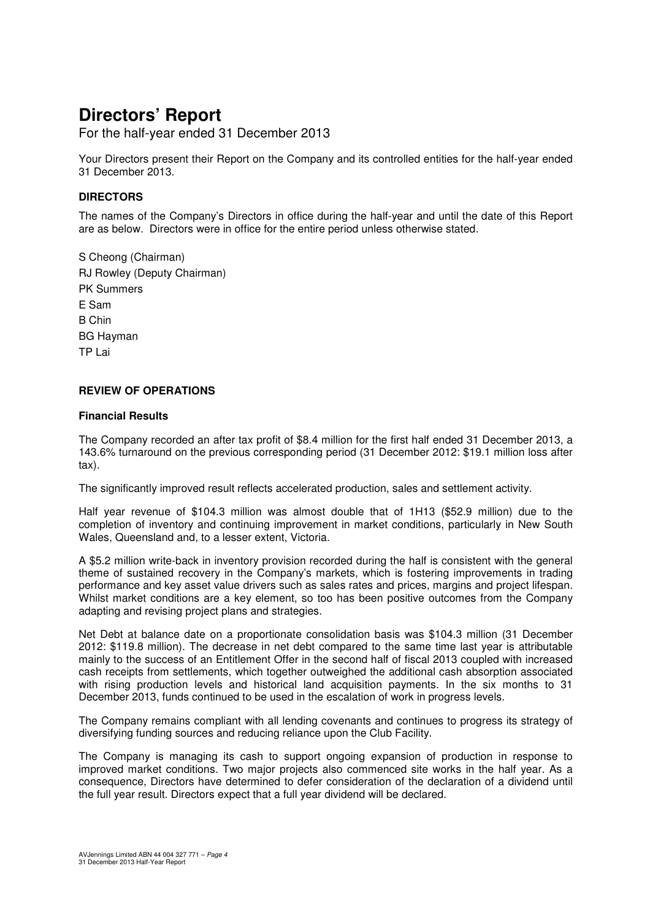For the half-year ended 31 December 2013

Your Directors present their Report on the Company and its controlled entities for the half-year ended 31 December 2013.

#### **DIRECTORS**

The names of the Company's Directors in office during the half-year and until the date of this Report are as below. Directors were in office for the entire period unless otherwise stated.

S Cheong (Chairman) RJ Rowley (Deputy Chairman) PK Summers E Sam B Chin BG Hayman TP Lai

#### **REVIEW OF OPERATIONS**

#### **Financial Results**

The Company recorded an after tax profit of \$8.4 million for the first half ended 31 December 2013, a 143.6% turnaround on the previous corresponding period (31 December 2012: \$19.1 million loss after tax).

The significantly improved result reflects accelerated production, sales and settlement activity.

Half year revenue of \$104.3 million was almost double that of 1H13 (\$52.9 million) due to the completion of inventory and continuing improvement in market conditions, particularly in New South Wales, Queensland and, to a lesser extent, Victoria.

A \$5.2 million write-back in inventory provision recorded during the half is consistent with the general theme of sustained recovery in the Company's markets, which is fostering improvements in trading performance and key asset value drivers such as sales rates and prices, margins and project lifespan. Whilst market conditions are a key element, so too has been positive outcomes from the Company adapting and revising project plans and strategies.

Net Debt at balance date on a proportionate consolidation basis was \$104.3 million (31 December 2012: \$119.8 million). The decrease in net debt compared to the same time last year is attributable mainly to the success of an Entitlement Offer in the second half of fiscal 2013 coupled with increased cash receipts from settlements, which together outweighed the additional cash absorption associated with rising production levels and historical land acquisition payments. In the six months to 31 December 2013, funds continued to be used in the escalation of work in progress levels.

The Company remains compliant with all lending covenants and continues to progress its strategy of diversifying funding sources and reducing reliance upon the Club Facility.

The Company is managing its cash to support ongoing expansion of production in response to improved market conditions. Two major projects also commenced site works in the half year. As a consequence, Directors have determined to defer consideration of the declaration of a dividend until the full year result. Directors expect that a full year dividend will be declared.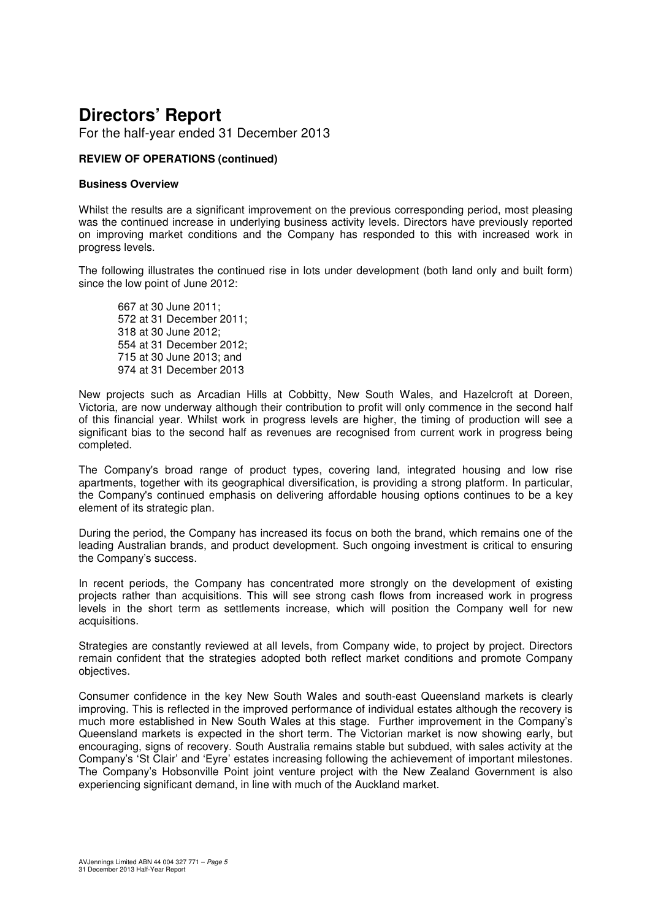For the half-year ended 31 December 2013

#### **REVIEW OF OPERATIONS (continued)**

#### **Business Overview**

Whilst the results are a significant improvement on the previous corresponding period, most pleasing was the continued increase in underlying business activity levels. Directors have previously reported on improving market conditions and the Company has responded to this with increased work in progress levels.

The following illustrates the continued rise in lots under development (both land only and built form) since the low point of June 2012:

667 at 30 June 2011; 572 at 31 December 2011; 318 at 30 June 2012; 554 at 31 December 2012; 715 at 30 June 2013; and 974 at 31 December 2013

New projects such as Arcadian Hills at Cobbitty, New South Wales, and Hazelcroft at Doreen, Victoria, are now underway although their contribution to profit will only commence in the second half of this financial year. Whilst work in progress levels are higher, the timing of production will see a significant bias to the second half as revenues are recognised from current work in progress being completed.

The Company's broad range of product types, covering land, integrated housing and low rise apartments, together with its geographical diversification, is providing a strong platform. In particular, the Company's continued emphasis on delivering affordable housing options continues to be a key element of its strategic plan.

During the period, the Company has increased its focus on both the brand, which remains one of the leading Australian brands, and product development. Such ongoing investment is critical to ensuring the Company's success.

In recent periods, the Company has concentrated more strongly on the development of existing projects rather than acquisitions. This will see strong cash flows from increased work in progress levels in the short term as settlements increase, which will position the Company well for new acquisitions.

Strategies are constantly reviewed at all levels, from Company wide, to project by project. Directors remain confident that the strategies adopted both reflect market conditions and promote Company objectives.

Consumer confidence in the key New South Wales and south-east Queensland markets is clearly improving. This is reflected in the improved performance of individual estates although the recovery is much more established in New South Wales at this stage. Further improvement in the Company's Queensland markets is expected in the short term. The Victorian market is now showing early, but encouraging, signs of recovery. South Australia remains stable but subdued, with sales activity at the Company's 'St Clair' and 'Eyre' estates increasing following the achievement of important milestones. The Company's Hobsonville Point joint venture project with the New Zealand Government is also experiencing significant demand, in line with much of the Auckland market.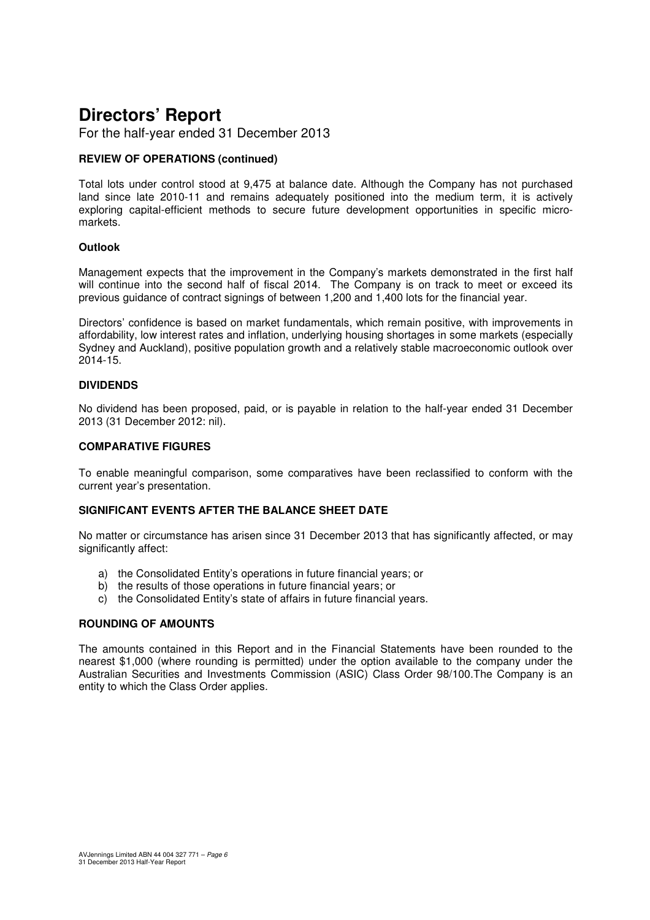For the half-year ended 31 December 2013

#### **REVIEW OF OPERATIONS (continued)**

Total lots under control stood at 9,475 at balance date. Although the Company has not purchased land since late 2010-11 and remains adequately positioned into the medium term, it is actively exploring capital-efficient methods to secure future development opportunities in specific micromarkets.

#### **Outlook**

Management expects that the improvement in the Company's markets demonstrated in the first half will continue into the second half of fiscal 2014. The Company is on track to meet or exceed its previous guidance of contract signings of between 1,200 and 1,400 lots for the financial year.

Directors' confidence is based on market fundamentals, which remain positive, with improvements in affordability, low interest rates and inflation, underlying housing shortages in some markets (especially Sydney and Auckland), positive population growth and a relatively stable macroeconomic outlook over 2014-15.

#### **DIVIDENDS**

No dividend has been proposed, paid, or is payable in relation to the half-year ended 31 December 2013 (31 December 2012: nil).

#### **COMPARATIVE FIGURES**

To enable meaningful comparison, some comparatives have been reclassified to conform with the current year's presentation.

#### **SIGNIFICANT EVENTS AFTER THE BALANCE SHEET DATE**

No matter or circumstance has arisen since 31 December 2013 that has significantly affected, or may significantly affect:

- a) the Consolidated Entity's operations in future financial years; or
- b) the results of those operations in future financial years; or
- c) the Consolidated Entity's state of affairs in future financial years.

#### **ROUNDING OF AMOUNTS**

The amounts contained in this Report and in the Financial Statements have been rounded to the nearest \$1,000 (where rounding is permitted) under the option available to the company under the Australian Securities and Investments Commission (ASIC) Class Order 98/100.The Company is an entity to which the Class Order applies.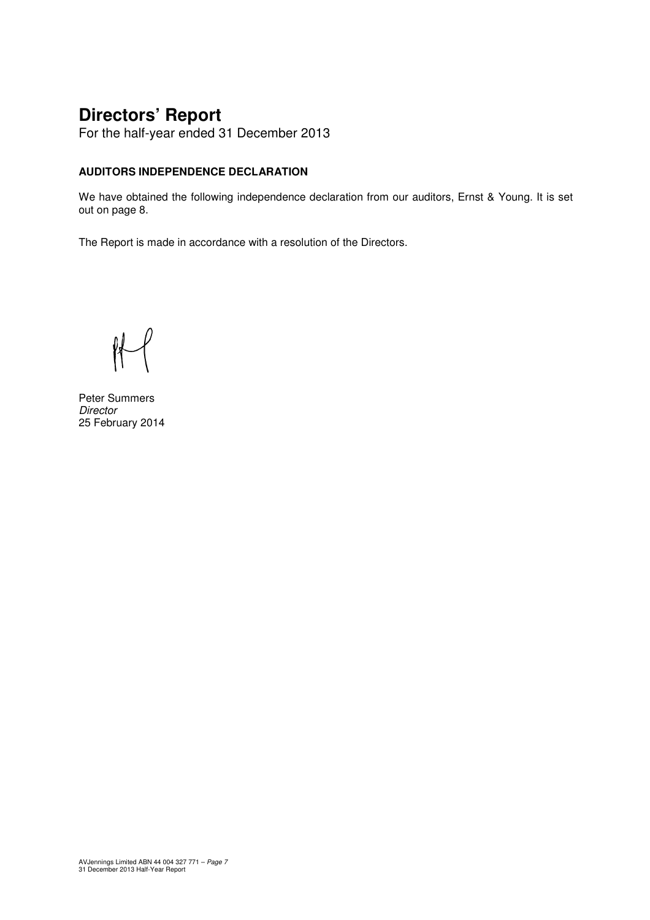For the half-year ended 31 December 2013

#### **AUDITORS INDEPENDENCE DECLARATION**

We have obtained the following independence declaration from our auditors, Ernst & Young. It is set out on page 8.

The Report is made in accordance with a resolution of the Directors.

 $H$ 

Peter Summers **Director** 25 February 2014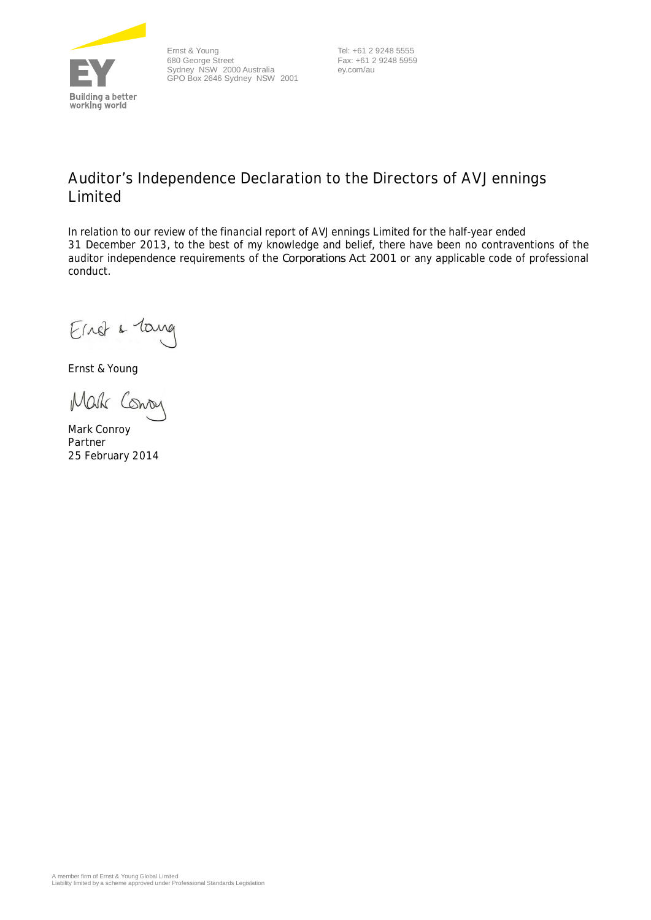

Ernst & Young 680 George Street Sydney NSW 2000 Australia GPO Box 2646 Sydney NSW 2001

 Tel: +61 2 9248 5555 Fax: +61 2 9248 5959 ey.com/au

### **Auditor's Independence Declaration to the Directors of AVJennings Limited**

In relation to our review of the financial report of AVJennings Limited for the half-year ended 31 December 2013, to the best of my knowledge and belief, there have been no contraventions of the auditor independence requirements of the *Corporations Act 2001* or any applicable code of professional conduct.

Einst & Tang

Ernst & Young

Mak Conoy

Mark Conroy Partner 25 February 2014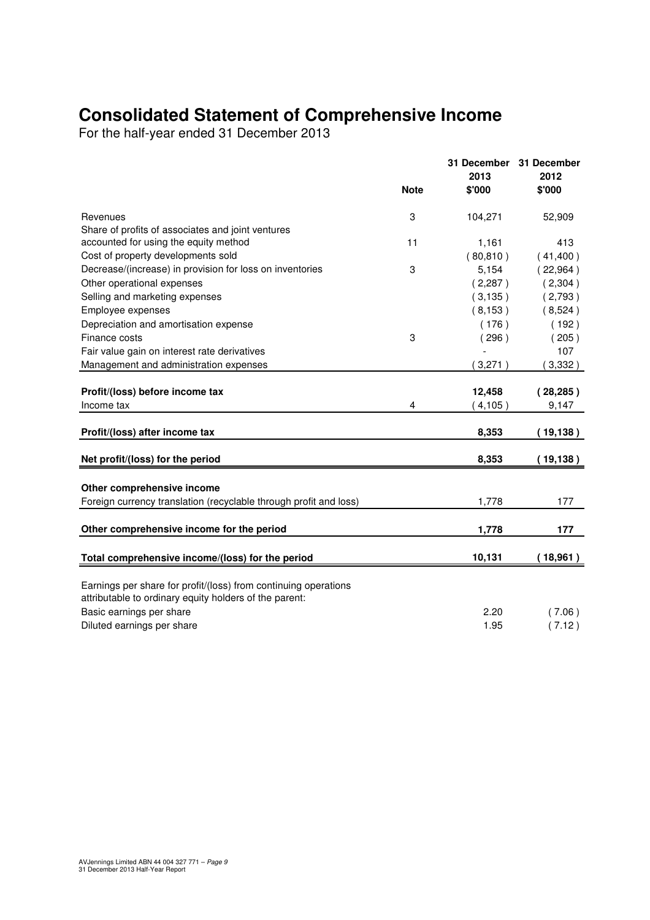## **Consolidated Statement of Comprehensive Income**

For the half-year ended 31 December 2013

|                                                                                                                           |             | 31 December<br>2013 | 31 December<br>2012 |
|---------------------------------------------------------------------------------------------------------------------------|-------------|---------------------|---------------------|
|                                                                                                                           | <b>Note</b> | \$'000              | \$'000              |
| Revenues                                                                                                                  | 3           | 104,271             | 52,909              |
| Share of profits of associates and joint ventures                                                                         |             |                     |                     |
| accounted for using the equity method                                                                                     | 11          | 1,161               | 413                 |
| Cost of property developments sold                                                                                        |             | (80, 810)           | (41,400)            |
| Decrease/(increase) in provision for loss on inventories                                                                  | 3           | 5,154               | (22,964)            |
| Other operational expenses                                                                                                |             | (2,287)             | (2,304)             |
| Selling and marketing expenses                                                                                            |             | (3, 135)            | (2,793)             |
| Employee expenses                                                                                                         |             | (8, 153)            | (8,524)             |
| Depreciation and amortisation expense                                                                                     |             | (176)               | (192)               |
| Finance costs                                                                                                             | 3           | (296)               | (205)               |
| Fair value gain on interest rate derivatives                                                                              |             |                     | 107                 |
| Management and administration expenses                                                                                    |             | 3,271               | 3,332)              |
|                                                                                                                           |             |                     |                     |
| Profit/(loss) before income tax                                                                                           |             | 12,458              | (28, 285)           |
| Income tax                                                                                                                | 4           | (4, 105)            | 9,147               |
| Profit/(loss) after income tax                                                                                            |             | 8,353               | (19, 138)           |
|                                                                                                                           |             |                     |                     |
| Net profit/(loss) for the period                                                                                          |             | 8,353               | (19, 138)           |
|                                                                                                                           |             |                     |                     |
| Other comprehensive income                                                                                                |             |                     |                     |
| Foreign currency translation (recyclable through profit and loss)                                                         |             | 1,778               | 177                 |
| Other comprehensive income for the period                                                                                 |             | 1,778               | 177                 |
|                                                                                                                           |             |                     |                     |
| Total comprehensive income/(loss) for the period                                                                          |             | 10,131              | (18,961)            |
|                                                                                                                           |             |                     |                     |
| Earnings per share for profit/(loss) from continuing operations<br>attributable to ordinary equity holders of the parent: |             |                     |                     |
| Basic earnings per share                                                                                                  |             | 2.20                | (7.06)              |
| Diluted earnings per share                                                                                                |             | 1.95                | (7.12)              |
|                                                                                                                           |             |                     |                     |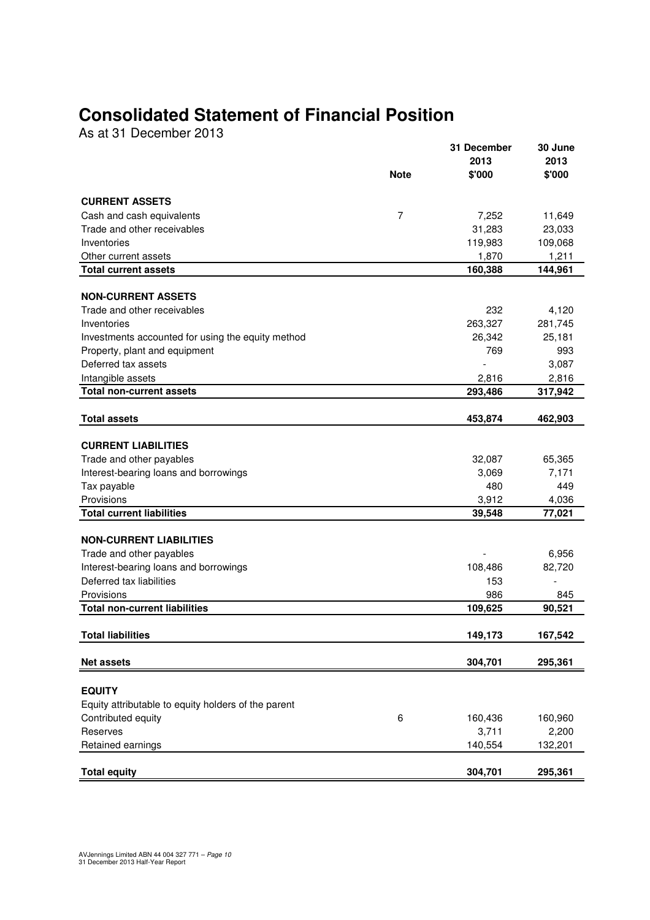## **Consolidated Statement of Financial Position**

As at 31 December 2013

|                                                      |             | 31 December      | 30 June        |
|------------------------------------------------------|-------------|------------------|----------------|
|                                                      | <b>Note</b> | 2013<br>\$'000   | 2013<br>\$'000 |
|                                                      |             |                  |                |
| <b>CURRENT ASSETS</b>                                |             |                  |                |
| Cash and cash equivalents                            | 7           | 7,252            | 11,649         |
| Trade and other receivables                          |             | 31,283           | 23,033         |
| Inventories                                          |             | 119,983          | 109,068        |
| Other current assets                                 |             | 1,870            | 1,211          |
| <b>Total current assets</b>                          |             | 160,388          | 144,961        |
|                                                      |             |                  |                |
| <b>NON-CURRENT ASSETS</b>                            |             |                  |                |
| Trade and other receivables                          |             | 232              | 4,120          |
| Inventories                                          |             | 263,327          | 281,745        |
| Investments accounted for using the equity method    |             | 26,342           | 25,181         |
| Property, plant and equipment<br>Deferred tax assets |             | 769              | 993<br>3,087   |
|                                                      |             |                  | 2,816          |
| Intangible assets<br><b>Total non-current assets</b> |             | 2,816<br>293,486 | 317,942        |
|                                                      |             |                  |                |
| <b>Total assets</b>                                  |             | 453,874          | 462,903        |
| <b>CURRENT LIABILITIES</b>                           |             |                  |                |
| Trade and other payables                             |             | 32,087           | 65,365         |
| Interest-bearing loans and borrowings                |             | 3,069            | 7,171          |
| Tax payable                                          |             | 480              | 449            |
| Provisions                                           |             | 3,912            | 4,036          |
| <b>Total current liabilities</b>                     |             | 39,548           | 77,021         |
|                                                      |             |                  |                |
| <b>NON-CURRENT LIABILITIES</b>                       |             |                  |                |
| Trade and other payables                             |             |                  | 6,956          |
| Interest-bearing loans and borrowings                |             | 108,486          | 82,720         |
| Deferred tax liabilities                             |             | 153              |                |
| Provisions                                           |             | 986              | 845            |
| <b>Total non-current liabilities</b>                 |             | 109,625          | 90,521         |
|                                                      |             |                  |                |
| <b>Total liabilities</b>                             |             | 149,173          | 167,542        |
| <b>Net assets</b>                                    |             | 304,701          | 295,361        |
|                                                      |             |                  |                |
| <b>EQUITY</b>                                        |             |                  |                |
| Equity attributable to equity holders of the parent  |             |                  |                |
| Contributed equity                                   | 6           | 160,436          | 160,960        |
| Reserves                                             |             | 3,711            | 2,200          |
| Retained earnings                                    |             | 140,554          | 132,201        |
|                                                      |             |                  |                |
| <b>Total equity</b>                                  |             | 304,701          | 295,361        |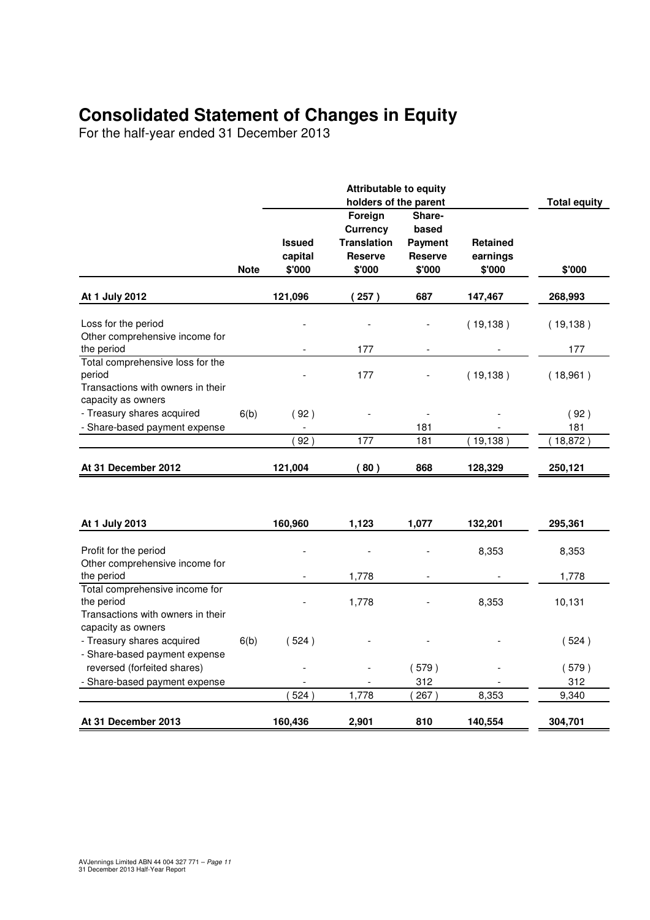## **Consolidated Statement of Changes in Equity**

For the half-year ended 31 December 2013

|                                                                                   |             | <b>Attributable to equity</b><br>holders of the parent |                                                                              |                                                               |                                       |           |  |
|-----------------------------------------------------------------------------------|-------------|--------------------------------------------------------|------------------------------------------------------------------------------|---------------------------------------------------------------|---------------------------------------|-----------|--|
|                                                                                   | <b>Note</b> | <b>Issued</b><br>capital<br>\$'000                     | Foreign<br><b>Currency</b><br><b>Translation</b><br><b>Reserve</b><br>\$'000 | Share-<br>based<br><b>Payment</b><br><b>Reserve</b><br>\$'000 | <b>Retained</b><br>earnings<br>\$'000 | \$'000    |  |
| At 1 July 2012                                                                    |             | 121,096                                                | (257)                                                                        | 687                                                           | 147,467                               | 268,993   |  |
| Loss for the period<br>Other comprehensive income for                             |             |                                                        |                                                                              |                                                               | (19, 138)                             | (19, 138) |  |
| the period<br>Total comprehensive loss for the                                    |             |                                                        | 177                                                                          |                                                               |                                       | 177       |  |
| period<br>Transactions with owners in their<br>capacity as owners                 |             |                                                        | 177                                                                          |                                                               | (19, 138)                             | (18,961)  |  |
| - Treasury shares acquired                                                        | 6(b)        | (92)                                                   |                                                                              |                                                               |                                       | (92)      |  |
| - Share-based payment expense                                                     |             |                                                        |                                                                              | 181                                                           |                                       | 181       |  |
|                                                                                   |             | 92)                                                    | 177                                                                          | 181                                                           | (19, 138)                             | (18, 872) |  |
| At 31 December 2012                                                               |             | 121,004                                                | (80)                                                                         | 868                                                           | 128,329                               | 250,121   |  |
|                                                                                   |             |                                                        |                                                                              |                                                               |                                       |           |  |
| At 1 July 2013                                                                    |             | 160,960                                                | 1,123                                                                        | 1,077                                                         | 132,201                               | 295,361   |  |
| Profit for the period<br>Other comprehensive income for                           |             |                                                        |                                                                              |                                                               | 8,353                                 | 8,353     |  |
| the period                                                                        |             |                                                        | 1,778                                                                        |                                                               |                                       | 1,778     |  |
| Total comprehensive income for<br>the period<br>Transactions with owners in their |             |                                                        | 1,778                                                                        |                                                               | 8,353                                 | 10,131    |  |
| capacity as owners<br>- Treasury shares acquired<br>- Share-based payment expense | 6(b)        | (524)                                                  |                                                                              |                                                               |                                       | (524)     |  |
| reversed (forfeited shares)                                                       |             |                                                        |                                                                              | (579)                                                         |                                       | (579)     |  |
| Share-based payment expense                                                       |             |                                                        |                                                                              | 312                                                           |                                       | 312       |  |
|                                                                                   |             | 524                                                    | 1,778                                                                        | 267)                                                          | 8,353                                 | 9,340     |  |
| At 31 December 2013                                                               |             | 160,436                                                | 2,901                                                                        | 810                                                           | 140,554                               | 304,701   |  |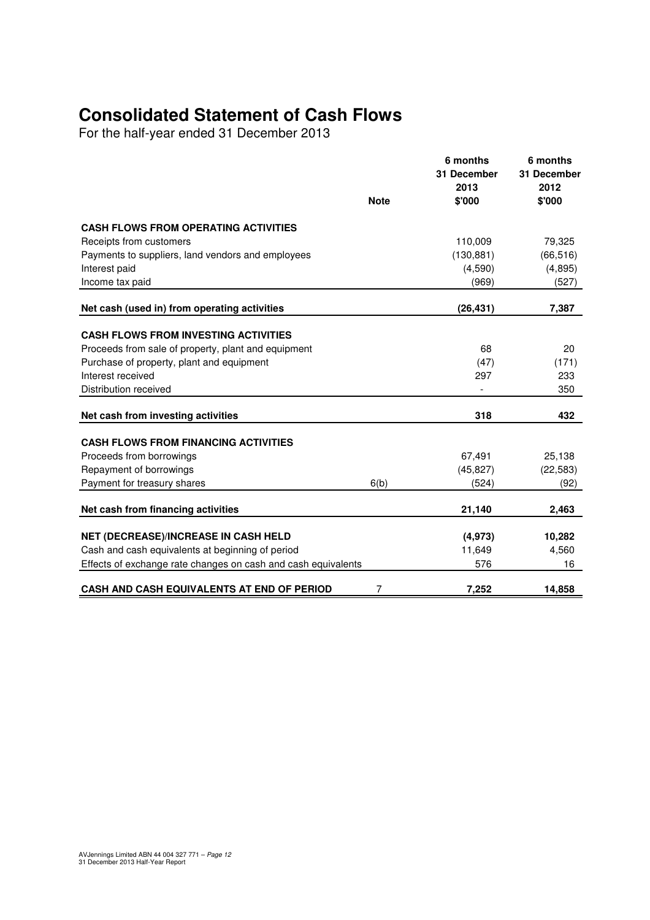## **Consolidated Statement of Cash Flows**

For the half-year ended 31 December 2013

|                                                               | <b>Note</b> | 6 months<br>31 December<br>2013<br>\$'000 | 6 months<br>31 December<br>2012<br>\$'000 |
|---------------------------------------------------------------|-------------|-------------------------------------------|-------------------------------------------|
| <b>CASH FLOWS FROM OPERATING ACTIVITIES</b>                   |             |                                           |                                           |
| Receipts from customers                                       |             | 110,009                                   | 79,325                                    |
| Payments to suppliers, land vendors and employees             |             | (130, 881)                                | (66, 516)                                 |
| Interest paid                                                 |             | (4,590)                                   | (4,895)                                   |
| Income tax paid                                               |             | (969)                                     | (527)                                     |
| Net cash (used in) from operating activities                  |             | (26, 431)                                 | 7,387                                     |
|                                                               |             |                                           |                                           |
| <b>CASH FLOWS FROM INVESTING ACTIVITIES</b>                   |             |                                           |                                           |
| Proceeds from sale of property, plant and equipment           |             | 68                                        | 20                                        |
| Purchase of property, plant and equipment                     |             | (47)                                      | (171)                                     |
| Interest received                                             |             | 297                                       | 233                                       |
| Distribution received                                         |             |                                           | 350                                       |
| Net cash from investing activities                            |             | 318                                       | 432                                       |
| <b>CASH FLOWS FROM FINANCING ACTIVITIES</b>                   |             |                                           |                                           |
| Proceeds from borrowings                                      |             | 67,491                                    | 25,138                                    |
| Repayment of borrowings                                       |             | (45, 827)                                 | (22, 583)                                 |
| Payment for treasury shares                                   | 6(b)        | (524)                                     | (92)                                      |
| Net cash from financing activities                            |             | 21,140                                    | 2,463                                     |
|                                                               |             |                                           |                                           |
| NET (DECREASE)/INCREASE IN CASH HELD                          |             | (4, 973)                                  | 10,282                                    |
| Cash and cash equivalents at beginning of period              |             | 11,649                                    | 4,560                                     |
| Effects of exchange rate changes on cash and cash equivalents |             | 576                                       | 16                                        |
| <b>CASH AND CASH EQUIVALENTS AT END OF PERIOD</b>             | 7           | 7,252                                     | 14.858                                    |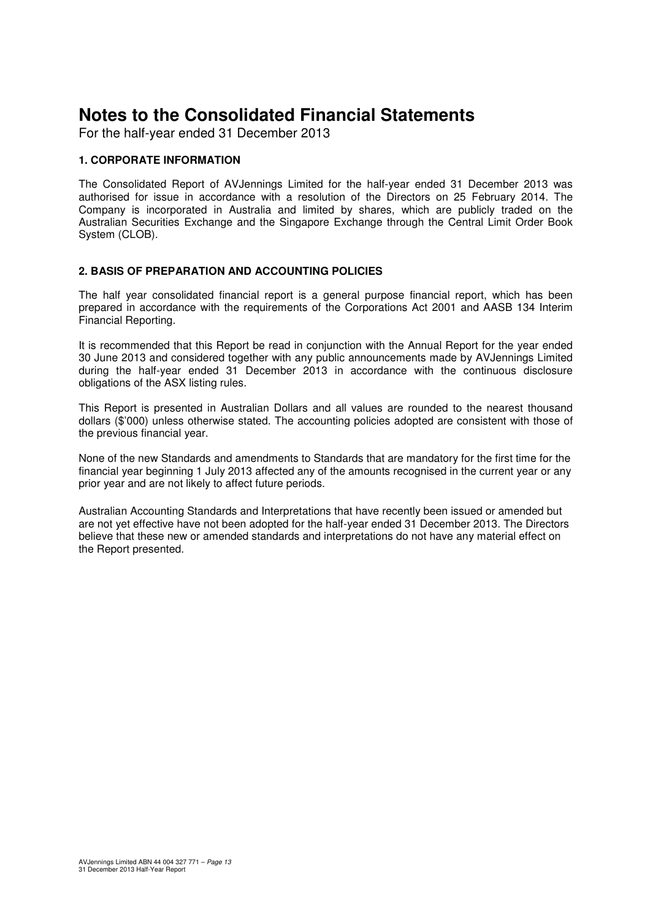For the half-year ended 31 December 2013

#### **1. CORPORATE INFORMATION**

The Consolidated Report of AVJennings Limited for the half-year ended 31 December 2013 was authorised for issue in accordance with a resolution of the Directors on 25 February 2014. The Company is incorporated in Australia and limited by shares, which are publicly traded on the Australian Securities Exchange and the Singapore Exchange through the Central Limit Order Book System (CLOB).

#### **2. BASIS OF PREPARATION AND ACCOUNTING POLICIES**

The half year consolidated financial report is a general purpose financial report, which has been prepared in accordance with the requirements of the Corporations Act 2001 and AASB 134 Interim Financial Reporting.

It is recommended that this Report be read in conjunction with the Annual Report for the year ended 30 June 2013 and considered together with any public announcements made by AVJennings Limited during the half-year ended 31 December 2013 in accordance with the continuous disclosure obligations of the ASX listing rules.

This Report is presented in Australian Dollars and all values are rounded to the nearest thousand dollars (\$'000) unless otherwise stated. The accounting policies adopted are consistent with those of the previous financial year.

None of the new Standards and amendments to Standards that are mandatory for the first time for the financial year beginning 1 July 2013 affected any of the amounts recognised in the current year or any prior year and are not likely to affect future periods.

Australian Accounting Standards and Interpretations that have recently been issued or amended but are not yet effective have not been adopted for the half-year ended 31 December 2013. The Directors believe that these new or amended standards and interpretations do not have any material effect on the Report presented.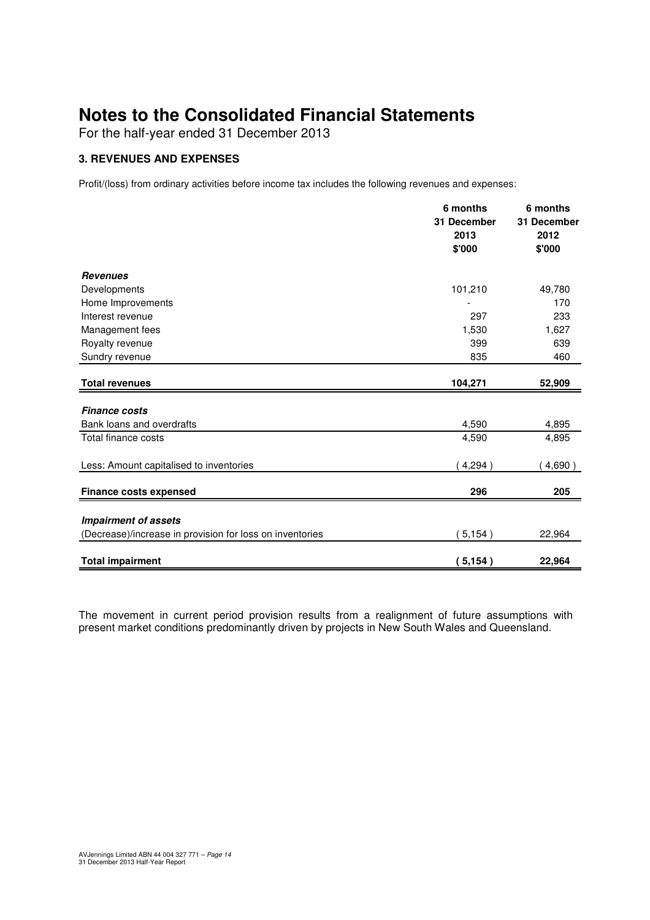For the half-year ended 31 December 2013

#### **3. REVENUES AND EXPENSES**

Profit/(loss) from ordinary activities before income tax includes the following revenues and expenses:

|                                                                                         | 6 months<br>31 December<br>2013<br>\$'000 | 6 months<br>31 December<br>2012<br>\$'000 |
|-----------------------------------------------------------------------------------------|-------------------------------------------|-------------------------------------------|
| <b>Revenues</b>                                                                         |                                           |                                           |
| Developments                                                                            | 101,210                                   | 49,780                                    |
| Home Improvements                                                                       |                                           | 170                                       |
| Interest revenue                                                                        | 297                                       | 233                                       |
| Management fees                                                                         | 1,530                                     | 1,627                                     |
| Royalty revenue                                                                         | 399                                       | 639                                       |
| Sundry revenue                                                                          | 835                                       | 460                                       |
| <b>Total revenues</b>                                                                   | 104,271                                   | 52,909                                    |
| <b>Finance costs</b>                                                                    |                                           |                                           |
| Bank loans and overdrafts                                                               | 4,590                                     | 4,895                                     |
| Total finance costs                                                                     | 4,590                                     | 4,895                                     |
| Less: Amount capitalised to inventories                                                 | 4,294)                                    | 4,690)                                    |
| <b>Finance costs expensed</b>                                                           | 296                                       | 205                                       |
|                                                                                         |                                           |                                           |
| <b>Impairment of assets</b><br>(Decrease)/increase in provision for loss on inventories | (5, 154)                                  | 22,964                                    |
|                                                                                         |                                           |                                           |
| <b>Total impairment</b>                                                                 | (5, 154)                                  | 22,964                                    |

The movement in current period provision results from a realignment of future assumptions with present market conditions predominantly driven by projects in New South Wales and Queensland.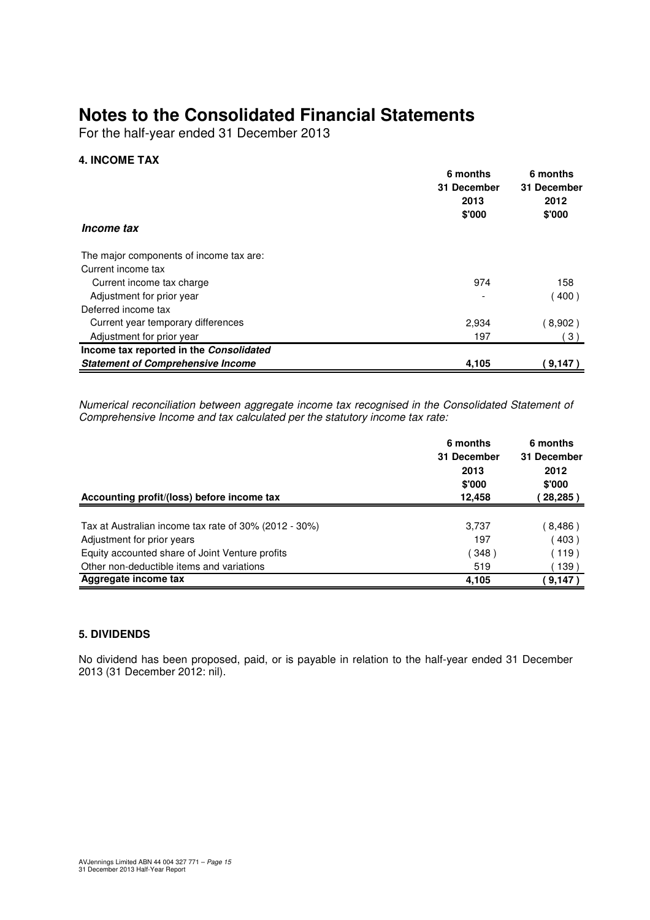For the half-year ended 31 December 2013

#### **4. INCOME TAX**

|                                          | 6 months    | 6 months    |
|------------------------------------------|-------------|-------------|
|                                          | 31 December | 31 December |
|                                          | 2013        | 2012        |
|                                          | \$'000      | \$'000      |
| Income tax                               |             |             |
| The major components of income tax are:  |             |             |
| Current income tax                       |             |             |
| Current income tax charge                | 974         | 158         |
| Adjustment for prior year                |             | 400)        |
| Deferred income tax                      |             |             |
| Current year temporary differences       | 2,934       | (8,902)     |
| Adjustment for prior year                | 197         | (3)         |
| Income tax reported in the Consolidated  |             |             |
| <b>Statement of Comprehensive Income</b> | 4,105       | (9,147)     |

Numerical reconciliation between aggregate income tax recognised in the Consolidated Statement of Comprehensive Income and tax calculated per the statutory income tax rate:

|                                                       | 6 months<br>31 December<br>2013<br>\$'000 | 6 months<br>31 December<br>2012<br>\$'000 |
|-------------------------------------------------------|-------------------------------------------|-------------------------------------------|
| Accounting profit/(loss) before income tax            | 12.458                                    | 28,285)                                   |
|                                                       |                                           |                                           |
| Tax at Australian income tax rate of 30% (2012 - 30%) | 3,737                                     | 8,486)                                    |
| Adjustment for prior years                            | 197                                       | 403)                                      |
| Equity accounted share of Joint Venture profits       | 348)                                      | (119)                                     |
| Other non-deductible items and variations             | 519                                       | 139)                                      |
| Aggregate income tax                                  | 4,105                                     | 9,147)                                    |

#### **5. DIVIDENDS**

No dividend has been proposed, paid, or is payable in relation to the half-year ended 31 December 2013 (31 December 2012: nil).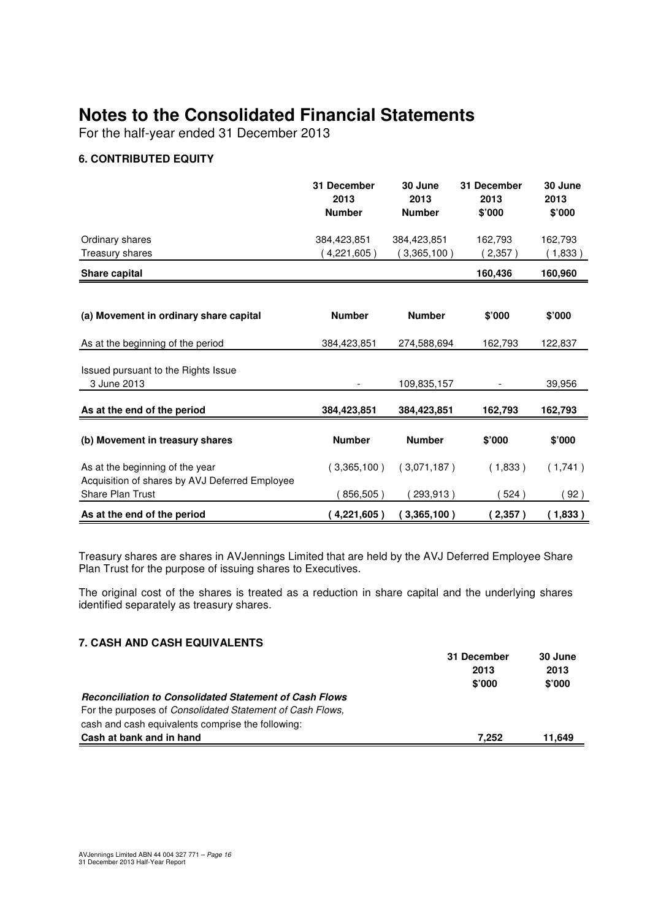For the half-year ended 31 December 2013

#### **6. CONTRIBUTED EQUITY**

|                                                                                   | 31 December<br>2013<br><b>Number</b> | 30 June<br>2013<br><b>Number</b> | 31 December<br>2013<br>\$'000 | 30 June<br>2013<br>\$'000 |
|-----------------------------------------------------------------------------------|--------------------------------------|----------------------------------|-------------------------------|---------------------------|
| Ordinary shares<br>Treasury shares                                                | 384,423,851<br>4,221,605)            | 384,423,851<br>3,365,100)        | 162,793<br>2,357              | 162,793<br>(1,833)        |
| Share capital                                                                     |                                      |                                  | 160,436                       | 160,960                   |
| (a) Movement in ordinary share capital                                            | <b>Number</b>                        | <b>Number</b>                    | \$'000                        | \$'000                    |
| As at the beginning of the period                                                 | 384,423,851                          | 274,588,694                      | 162,793                       | 122,837                   |
| Issued pursuant to the Rights Issue<br>3 June 2013                                |                                      | 109,835,157                      |                               | 39,956                    |
| As at the end of the period                                                       | 384,423,851                          | 384,423,851                      | 162,793                       | 162,793                   |
| (b) Movement in treasury shares                                                   | <b>Number</b>                        | <b>Number</b>                    | \$'000                        | \$'000                    |
| As at the beginning of the year<br>Acquisition of shares by AVJ Deferred Employee | (3,365,100)                          | (3,071,187)                      | (1,833)                       | (1,741)                   |
| Share Plan Trust                                                                  | 856,505)                             | 293,913)                         | 524)                          | 92)                       |
| As at the end of the period                                                       | 4,221,605)                           | (3,365,100)                      | 2,357)                        | (1,833)                   |

Treasury shares are shares in AVJennings Limited that are held by the AVJ Deferred Employee Share Plan Trust for the purpose of issuing shares to Executives.

The original cost of the shares is treated as a reduction in share capital and the underlying shares identified separately as treasury shares.

#### **7. CASH AND CASH EQUIVALENTS**

|                                                                   | 31 December | 30 June |
|-------------------------------------------------------------------|-------------|---------|
|                                                                   | 2013        | 2013    |
|                                                                   | \$'000      | \$'000  |
| <b>Reconciliation to Consolidated Statement of Cash Flows</b>     |             |         |
| For the purposes of <i>Consolidated Statement of Cash Flows</i> , |             |         |
| cash and cash equivalents comprise the following:                 |             |         |
| Cash at bank and in hand                                          | 7.252       | 11,649  |
|                                                                   |             |         |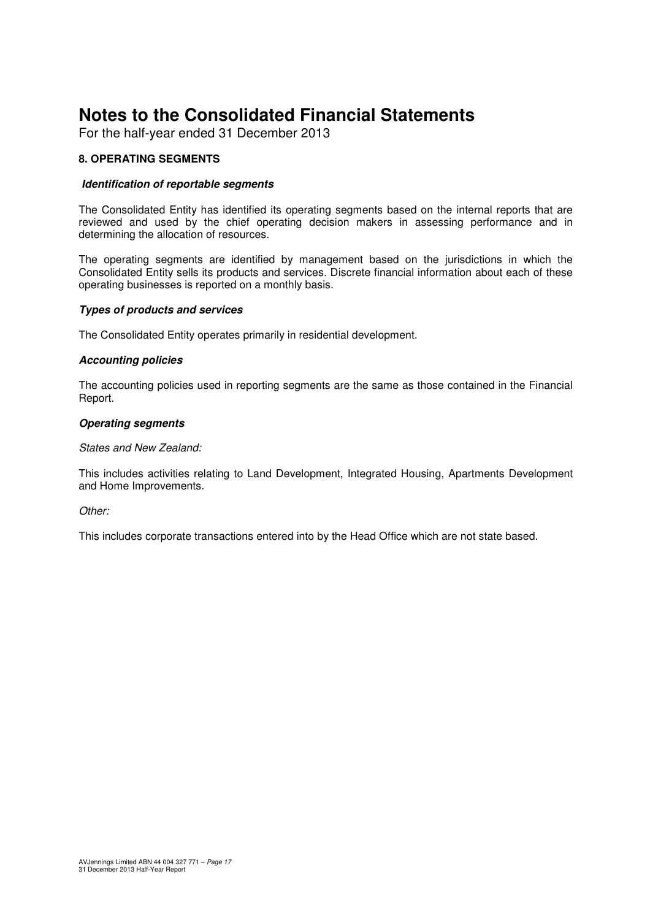For the half-year ended 31 December 2013

#### **8. OPERATING SEGMENTS**

#### **Identification of reportable segments**

The Consolidated Entity has identified its operating segments based on the internal reports that are reviewed and used by the chief operating decision makers in assessing performance and in determining the allocation of resources.

The operating segments are identified by management based on the jurisdictions in which the Consolidated Entity sells its products and services. Discrete financial information about each of these operating businesses is reported on a monthly basis.

#### **Types of products and services**

The Consolidated Entity operates primarily in residential development.

#### **Accounting policies**

The accounting policies used in reporting segments are the same as those contained in the Financial Report.

#### **Operating segments**

#### States and New Zealand:

This includes activities relating to Land Development, Integrated Housing, Apartments Development and Home Improvements.

#### Other:

This includes corporate transactions entered into by the Head Office which are not state based.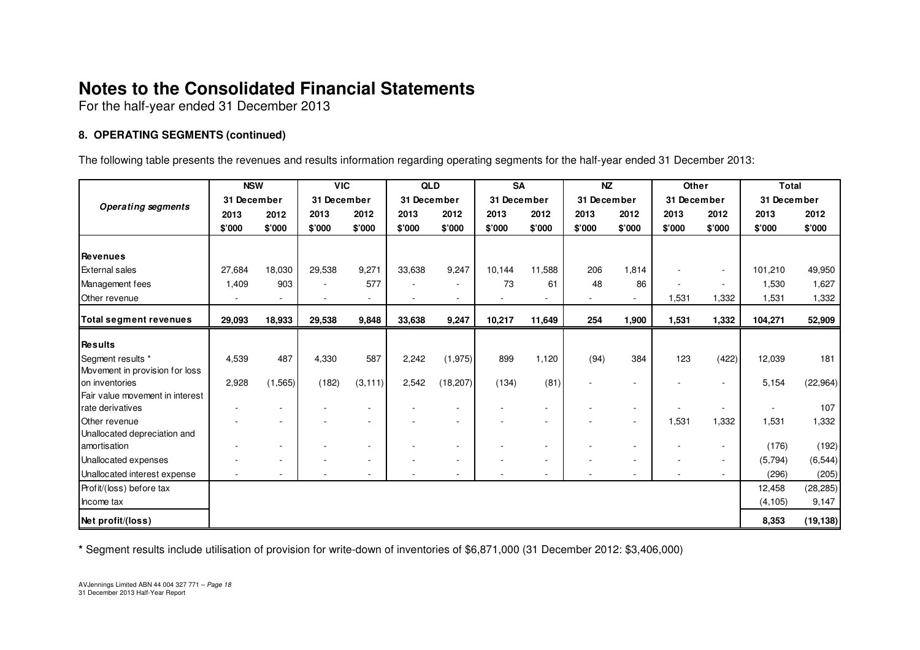For the half-year ended 31 December 2013

#### **8. OPERATING SEGMENTS (continued)**

The following table presents the revenues and results information regarding operating segments for the half-year ended 31 December 2013:

|                                               | <b>NSW</b>  |                          | <b>VIC</b>               |          | <b>QLD</b>  |                          | <b>SA</b>   |                          | <b>NZ</b>   |        | Other       |        | <b>Total</b> |           |
|-----------------------------------------------|-------------|--------------------------|--------------------------|----------|-------------|--------------------------|-------------|--------------------------|-------------|--------|-------------|--------|--------------|-----------|
| <b>Operating segments</b>                     | 31 December |                          | 31 December              |          | 31 December |                          | 31 December |                          | 31 December |        | 31 December |        | 31 December  |           |
|                                               | 2013        | 2012                     | 2013                     | 2012     | 2013        | 2012                     | 2013        | 2012                     | 2013        | 2012   | 2013        | 2012   | 2013         | 2012      |
|                                               | \$'000      | \$'000                   | \$'000                   | \$'000   | \$'000      | \$'000                   | \$'000      | \$'000                   | \$'000      | \$'000 | \$'000      | \$'000 | \$'000       | \$'000    |
|                                               |             |                          |                          |          |             |                          |             |                          |             |        |             |        |              |           |
| <b>Revenues</b>                               |             |                          |                          |          |             |                          |             |                          |             |        |             |        |              |           |
| <b>External sales</b>                         | 27,684      | 18,030                   | 29,538                   | 9,271    | 33,638      | 9,247                    | 10,144      | 11,588                   | 206         | 1,814  |             | $\sim$ | 101,210      | 49,950    |
| Management fees                               | 1,409       | 903                      | $\sim$                   | 577      | ٠           | $\overline{\phantom{a}}$ | 73          | 61                       | 48          | 86     |             | $\sim$ | 1,530        | 1,627     |
| Other revenue                                 |             |                          | $\overline{\phantom{a}}$ |          |             |                          |             | $\overline{\phantom{a}}$ |             |        | 1,531       | 1,332  | 1,531        | 1,332     |
| <b>Total segment revenues</b>                 | 29,093      | 18,933                   | 29,538                   | 9,848    | 33,638      | 9,247                    | 10,217      | 11,649                   | 254         | 1,900  | 1,531       | 1,332  | 104,271      | 52,909    |
|                                               |             |                          |                          |          |             |                          |             |                          |             |        |             |        |              |           |
| <b>Results</b>                                |             |                          |                          |          |             |                          |             |                          |             |        |             |        |              |           |
| Segment results *                             | 4,539       | 487                      | 4,330                    | 587      | 2,242       | (1,975)                  | 899         | 1,120                    | (94)        | 384    | 123         | (422)  | 12,039       | 181       |
| Movement in provision for loss                |             |                          |                          |          |             |                          |             |                          |             |        |             |        |              |           |
| on inventories                                | 2,928       | (1, 565)                 | (182)                    | (3, 111) | 2,542       | (18, 207)                | (134)       | (81)                     |             |        |             |        | 5,154        | (22, 964) |
| Fair value movement in interest               |             |                          |                          |          |             |                          |             |                          |             |        |             |        |              | 107       |
| rate derivatives                              |             |                          |                          |          |             |                          |             | ٠                        |             |        |             | ۰      |              |           |
| Other revenue<br>Unallocated depreciation and |             |                          |                          |          |             |                          |             | $\overline{\phantom{a}}$ |             |        | 1,531       | 1,332  | 1,531        | 1,332     |
| amortisation                                  |             | $\overline{\phantom{a}}$ |                          |          |             |                          |             | ٠                        |             |        |             | $\sim$ | (176)        | (192)     |
| Unallocated expenses                          |             | $\overline{\phantom{a}}$ |                          |          |             |                          |             | $\overline{\phantom{a}}$ |             |        |             |        | (5,794)      | (6, 544)  |
| Unallocated interest expense                  |             |                          |                          |          |             |                          |             | ٠                        |             |        |             |        | (296)        | (205)     |
| Profit/(loss) before tax                      |             |                          |                          |          |             |                          |             |                          |             |        |             |        | 12,458       | (28, 285) |
| Income tax                                    |             |                          |                          |          |             |                          |             |                          |             |        |             |        | (4, 105)     | 9,147     |
|                                               |             |                          |                          |          |             |                          |             |                          |             |        |             |        |              |           |
| Net profit/(loss)                             |             |                          |                          |          |             |                          |             |                          |             |        |             |        | 8,353        | (19, 138) |

**\*** Segment results include utilisation of provision for write-down of inventories of \$6,871,000 (31 December 2012: \$3,406,000)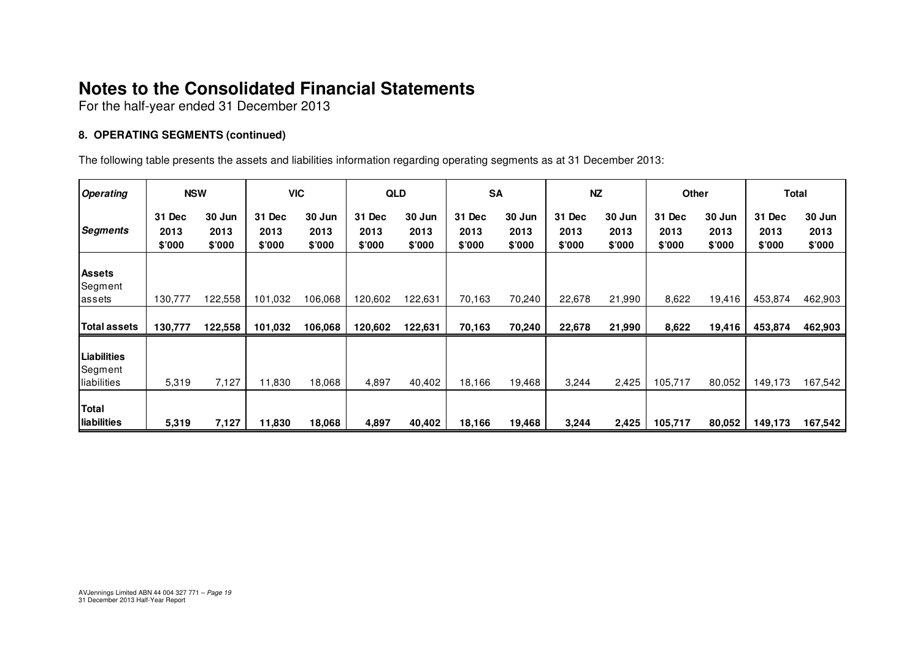For the half-year ended 31 December 2013

#### **8. OPERATING SEGMENTS (continued)**

The following table presents the assets and liabilities information regarding operating segments as at 31 December 2013:

| <b>Operating</b>                      | <b>NSW</b>               |                          | <b>VIC</b>               |                          | <b>QLD</b>               |                          | <b>SA</b>                |                          | <b>NZ</b>                |                          | Other                    |                          |                          | Total                    |
|---------------------------------------|--------------------------|--------------------------|--------------------------|--------------------------|--------------------------|--------------------------|--------------------------|--------------------------|--------------------------|--------------------------|--------------------------|--------------------------|--------------------------|--------------------------|
| Segments                              | 31 Dec<br>2013<br>\$'000 | 30 Jun<br>2013<br>\$'000 | 31 Dec<br>2013<br>\$'000 | 30 Jun<br>2013<br>\$'000 | 31 Dec<br>2013<br>\$'000 | 30 Jun<br>2013<br>\$'000 | 31 Dec<br>2013<br>\$'000 | 30 Jun<br>2013<br>\$'000 | 31 Dec<br>2013<br>\$'000 | 30 Jun<br>2013<br>\$'000 | 31 Dec<br>2013<br>\$'000 | 30 Jun<br>2013<br>\$'000 | 31 Dec<br>2013<br>\$'000 | 30 Jun<br>2013<br>\$'000 |
| <b>Assets</b><br>Segment<br>lassets   | 130,777                  | 122,558                  | 101,032                  | 106,068                  | 120,602                  | 122,631                  | 70,163                   | 70,240                   | 22,678                   | 21,990                   | 8,622                    | 19,416                   | 453,874                  | 462,903                  |
| <b>Total assets</b>                   | 130,777                  | 122,558                  | 101,032                  | 106,068                  | 120,602                  | 122,631                  | 70,163                   | 70,240                   | 22,678                   | 21,990                   | 8,622                    | 19,416                   | 453,874                  | 462,903                  |
| Liabilities<br>Segment<br>liabilities | 5,319                    | 7,127                    | 11,830                   | 18,068                   | 4,897                    | 40,402                   | 18,166                   | 19,468                   | 3,244                    | 2,425                    | 105,717                  | 80,052                   | 149,173                  | 167,542                  |
| <b>Total</b><br>liabilities           | 5,319                    | 7,127                    | 11,830                   | 18,068                   | 4,897                    | 40,402                   | 18,166                   | 19,468                   | 3,244                    | 2,425                    | 105,717                  | 80,052                   | 149,173                  | 167,542                  |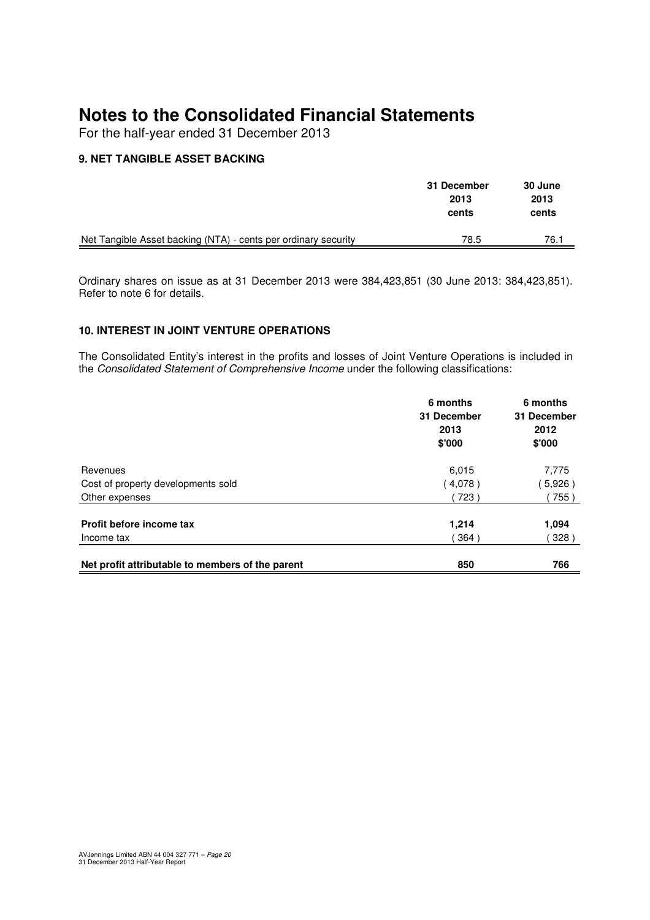For the half-year ended 31 December 2013

#### **9. NET TANGIBLE ASSET BACKING**

|                                                                | 31 December<br>2013<br>cents | 30 June<br>2013<br>cents |
|----------------------------------------------------------------|------------------------------|--------------------------|
| Net Tangible Asset backing (NTA) - cents per ordinary security | 78.5                         | 76.1                     |

Ordinary shares on issue as at 31 December 2013 were 384,423,851 (30 June 2013: 384,423,851). Refer to note 6 for details.

#### **10. INTEREST IN JOINT VENTURE OPERATIONS**

The Consolidated Entity's interest in the profits and losses of Joint Venture Operations is included in the Consolidated Statement of Comprehensive Income under the following classifications:

|                                                  | 6 months<br>31 December<br>2013<br>\$'000 | 6 months<br>31 December<br>2012<br>\$'000 |
|--------------------------------------------------|-------------------------------------------|-------------------------------------------|
| Revenues                                         | 6,015                                     | 7,775                                     |
| Cost of property developments sold               | (4,078)                                   | 5,926)                                    |
| Other expenses                                   | 723)                                      | 755)                                      |
| Profit before income tax                         | 1,214                                     | 1,094                                     |
| Income tax                                       | 364)                                      | 328)                                      |
| Net profit attributable to members of the parent | 850                                       | 766                                       |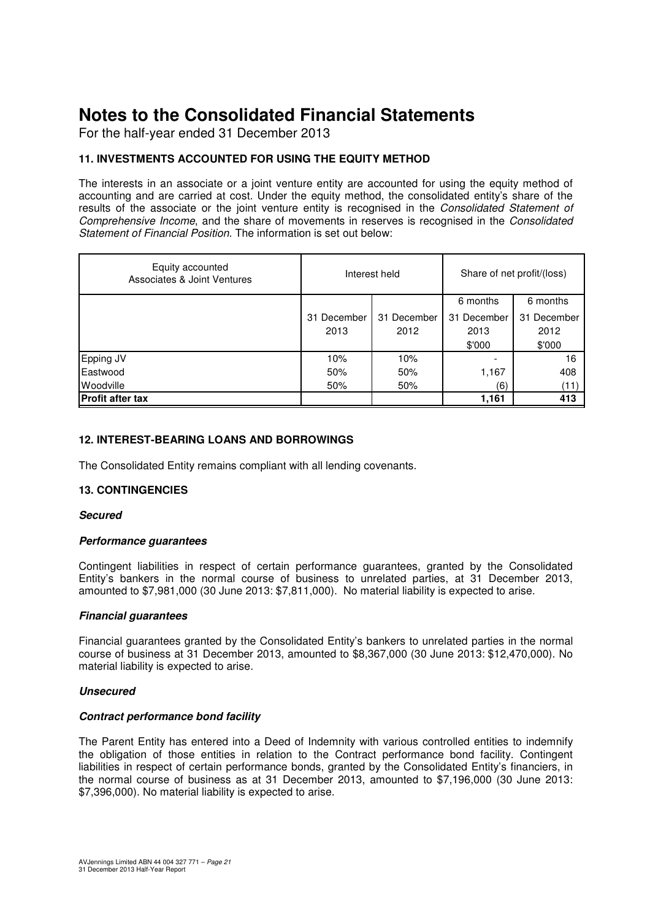For the half-year ended 31 December 2013

#### **11. INVESTMENTS ACCOUNTED FOR USING THE EQUITY METHOD**

The interests in an associate or a joint venture entity are accounted for using the equity method of accounting and are carried at cost. Under the equity method, the consolidated entity's share of the results of the associate or the joint venture entity is recognised in the Consolidated Statement of Comprehensive Income, and the share of movements in reserves is recognised in the Consolidated Statement of Financial Position. The information is set out below:

| Equity accounted<br>Associates & Joint Ventures |             | Interest held | Share of net profit/(loss) |             |  |
|-------------------------------------------------|-------------|---------------|----------------------------|-------------|--|
|                                                 |             |               | 6 months                   | 6 months    |  |
|                                                 | 31 December | 31 December   | 31 December                | 31 December |  |
|                                                 | 2013        | 2012          | 2013                       | 2012        |  |
|                                                 |             |               | \$'000                     | \$'000      |  |
| Epping JV                                       | 10%         | 10%           |                            | 16          |  |
| Eastwood                                        | 50%         | 50%           | 1,167                      | 408         |  |
| <b>Woodville</b>                                | 50%         | 50%           | (6)                        | (11         |  |
| <b>Profit after tax</b>                         |             |               | 1,161                      | 413         |  |

#### **12. INTEREST-BEARING LOANS AND BORROWINGS**

The Consolidated Entity remains compliant with all lending covenants.

#### **13. CONTINGENCIES**

#### **Secured**

#### **Performance guarantees**

Contingent liabilities in respect of certain performance guarantees, granted by the Consolidated Entity's bankers in the normal course of business to unrelated parties, at 31 December 2013, amounted to \$7,981,000 (30 June 2013: \$7,811,000). No material liability is expected to arise.

#### **Financial guarantees**

Financial guarantees granted by the Consolidated Entity's bankers to unrelated parties in the normal course of business at 31 December 2013, amounted to \$8,367,000 (30 June 2013: \$12,470,000). No material liability is expected to arise.

#### **Unsecured**

#### **Contract performance bond facility**

The Parent Entity has entered into a Deed of Indemnity with various controlled entities to indemnify the obligation of those entities in relation to the Contract performance bond facility. Contingent liabilities in respect of certain performance bonds, granted by the Consolidated Entity's financiers, in the normal course of business as at 31 December 2013, amounted to \$7,196,000 (30 June 2013: \$7,396,000). No material liability is expected to arise.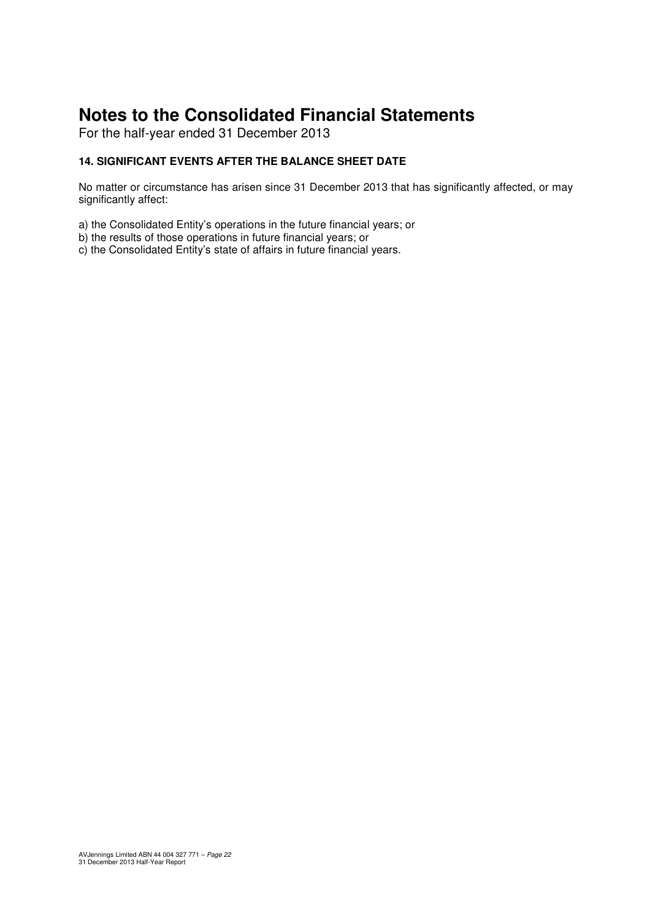For the half-year ended 31 December 2013

#### **14. SIGNIFICANT EVENTS AFTER THE BALANCE SHEET DATE**

No matter or circumstance has arisen since 31 December 2013 that has significantly affected, or may significantly affect:

- a) the Consolidated Entity's operations in the future financial years; or
- b) the results of those operations in future financial years; or
- c) the Consolidated Entity's state of affairs in future financial years.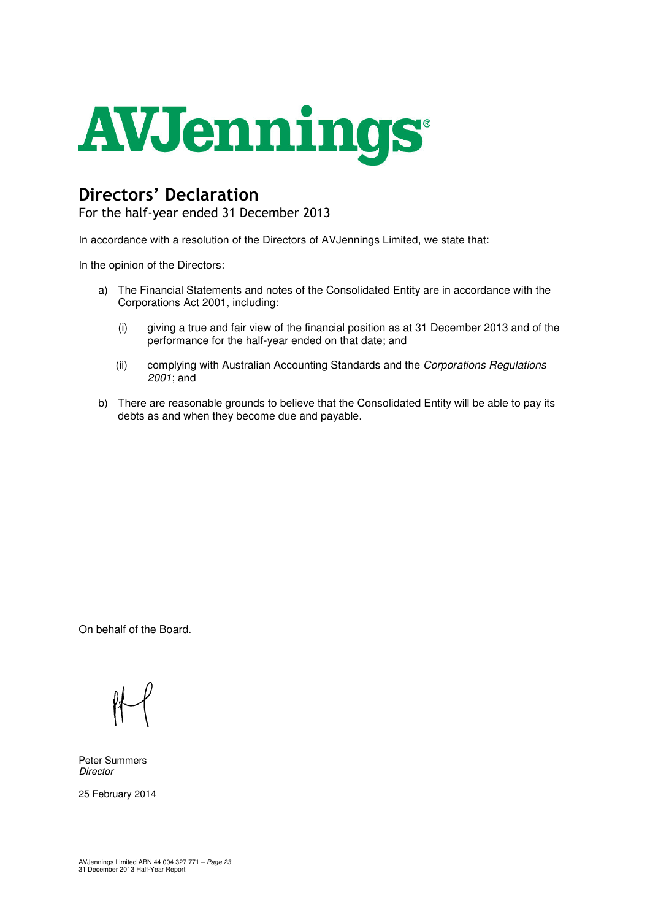

## Directors' Declaration

For the half-year ended 31 December 2013

In accordance with a resolution of the Directors of AVJennings Limited, we state that:

In the opinion of the Directors:

- a) The Financial Statements and notes of the Consolidated Entity are in accordance with the Corporations Act 2001, including:
	- (i) giving a true and fair view of the financial position as at 31 December 2013 and of the performance for the half-year ended on that date; and
	- (ii) complying with Australian Accounting Standards and the Corporations Regulations 2001; and
- b) There are reasonable grounds to believe that the Consolidated Entity will be able to pay its debts as and when they become due and payable.

On behalf of the Board.

Peter Summers **Director** 

25 February 2014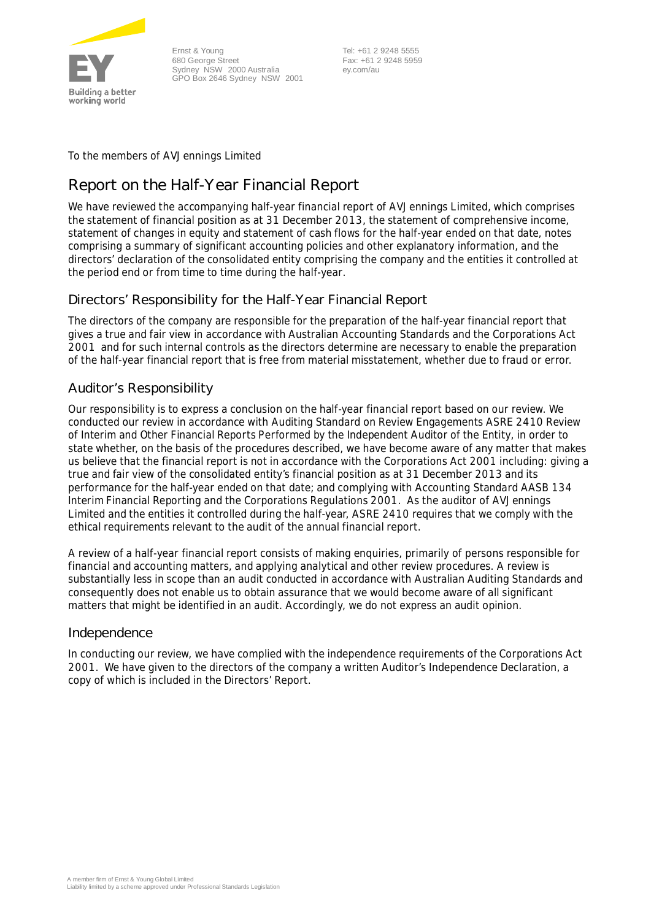

Ernst & Young 680 George Street Sydney NSW 2000 Australia GPO Box 2646 Sydney NSW 2001

 Tel: +61 2 9248 5555 Fax: +61 2 9248 5959 ey.com/au

To the members of AVJennings Limited

### **Report on the Half-Year Financial Report**

We have reviewed the accompanying half-year financial report of AVJennings Limited, which comprises the statement of financial position as at 31 December 2013, the statement of comprehensive income, statement of changes in equity and statement of cash flows for the half-year ended on that date, notes comprising a summary of significant accounting policies and other explanatory information, and the directors' declaration of the consolidated entity comprising the company and the entities it controlled at the period end or from time to time during the half-year.

#### Directors' Responsibility for the Half-Year Financial Report

The directors of the company are responsible for the preparation of the half-year financial report that gives a true and fair view in accordance with Australian Accounting Standards and the *Corporations Act 2001* and for such internal controls as the directors determine are necessary to enable the preparation of the half-year financial report that is free from material misstatement, whether due to fraud or error.

#### Auditor's Responsibility

Our responsibility is to express a conclusion on the half-year financial report based on our review. We conducted our review in accordance with Auditing Standard on Review Engagements ASRE 2410 *Review of Interim and Other Financial Reports Performed by the Independent Auditor of the Entity*, in order to state whether, on the basis of the procedures described, we have become aware of any matter that makes us believe that the financial report is not in accordance with the *Corporations Act 2001* including: giving a true and fair view of the consolidated entity's financial position as at 31 December 2013 and its performance for the half-year ended on that date; and complying with Accounting Standard AASB 134 *Interim Financial Reporting* and the *Corporations Regulations 2001*. As the auditor of AVJennings Limited and the entities it controlled during the half-year, ASRE 2410 requires that we comply with the ethical requirements relevant to the audit of the annual financial report.

A review of a half-year financial report consists of making enquiries, primarily of persons responsible for financial and accounting matters, and applying analytical and other review procedures. A review is substantially less in scope than an audit conducted in accordance with Australian Auditing Standards and consequently does not enable us to obtain assurance that we would become aware of all significant matters that might be identified in an audit. Accordingly, we do not express an audit opinion.

#### Independence

In conducting our review, we have complied with the independence requirements of the *Corporations Act 2001*. We have given to the directors of the company a written Auditor's Independence Declaration, a copy of which is included in the Directors' Report.